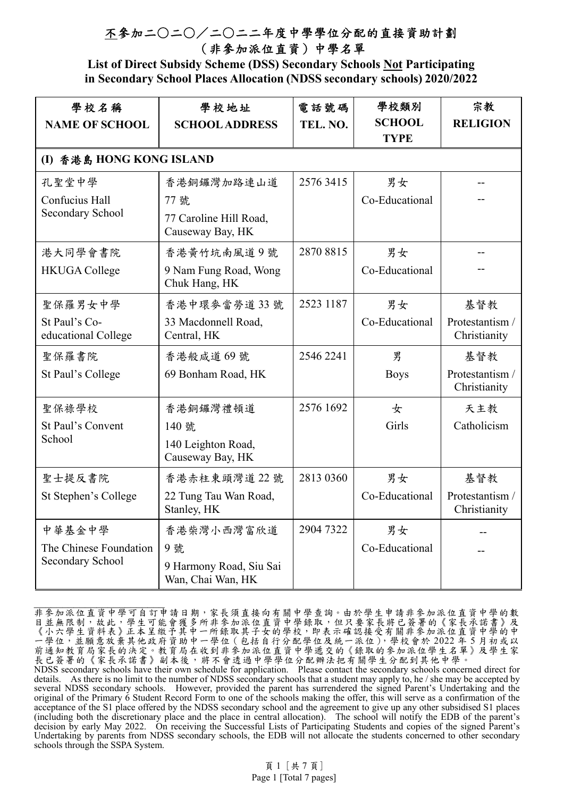**List of Direct Subsidy Scheme (DSS) Secondary Schools Not Participating in Secondary School Places Allocation (NDSS secondary schools) 2020/2022** 

| 學校名稱<br><b>NAME OF SCHOOL</b>              | 學校地址<br><b>SCHOOL ADDRESS</b>                | 電話號碼<br>TEL. NO. | 學校類別<br><b>SCHOOL</b><br><b>TYPE</b> | 宗教<br><b>RELIGION</b>           |  |  |  |
|--------------------------------------------|----------------------------------------------|------------------|--------------------------------------|---------------------------------|--|--|--|
|                                            | (I) 香港島 HONG KONG ISLAND                     |                  |                                      |                                 |  |  |  |
| 孔聖堂中學                                      | 香港銅鑼灣加路連山道                                   | 2576 3415        | 男女                                   |                                 |  |  |  |
| Confucius Hall                             | 77號                                          |                  | Co-Educational                       |                                 |  |  |  |
| Secondary School                           | 77 Caroline Hill Road,<br>Causeway Bay, HK   |                  |                                      |                                 |  |  |  |
| 港大同學會書院                                    | 香港黄竹坑南風道9號                                   | 2870 8815        | 男女                                   |                                 |  |  |  |
| <b>HKUGA College</b>                       | 9 Nam Fung Road, Wong<br>Chuk Hang, HK       |                  | Co-Educational                       |                                 |  |  |  |
| 聖保羅男女中學                                    | 香港中環麥當勞道33號                                  | 2523 1187        | 男女                                   | 基督教                             |  |  |  |
| St Paul's Co-<br>educational College       | 33 Macdonnell Road,<br>Central, HK           |                  | Co-Educational                       | Protestantism /<br>Christianity |  |  |  |
| 聖保羅書院                                      | 香港般咸道69號                                     | 2546 2241        | 男                                    | 基督教                             |  |  |  |
| St Paul's College                          | 69 Bonham Road, HK                           |                  | <b>Boys</b>                          | Protestantism /<br>Christianity |  |  |  |
| 聖保祿學校                                      | 香港銅鑼灣禮頓道                                     | 2576 1692        | 女                                    | 天主教                             |  |  |  |
| St Paul's Convent                          | 140 號                                        |                  | Girls                                | Catholicism                     |  |  |  |
| School                                     | 140 Leighton Road,<br>Causeway Bay, HK       |                  |                                      |                                 |  |  |  |
| 聖士提反書院                                     | 香港赤柱東頭灣道 22號                                 | 2813 0360        | 男女                                   | 基督教                             |  |  |  |
| St Stephen's College                       | 22 Tung Tau Wan Road,<br>Stanley, HK         |                  | Co-Educational                       | Protestantism /<br>Christianity |  |  |  |
| 中華基金中學                                     | 香港柴灣小西灣富欣道                                   | 2904 7322        | 男女                                   |                                 |  |  |  |
| The Chinese Foundation<br>Secondary School | 9號                                           |                  | Co-Educational                       |                                 |  |  |  |
|                                            | 9 Harmony Road, Siu Sai<br>Wan, Chai Wan, HK |                  |                                      |                                 |  |  |  |

非參加派位直資中學可自訂申請日期,家長須直接向有關中學查詢。由於學生申請非參加派位直資中學的數 目並無限制,故此,學生可能會獲多所非參加派位直資中學錄取,但只要家長將已簽署的《家長承諾書》及 《小六學生資料表》正本呈繳予其中一所錄取其子女的學校,即表示確認接受有關非參加派位直資中學的中 一學位,並願意放棄其他政府資助中一學位(包括自行分配學位及統一派位),學校會於 2022 年 5 月初或以 前通知教育局家長的決定。教育局在收到非參加派位直資中學遞交的《錄取的參加派位學生名單》及學生家 長已簽署的《家長承諾書》副本後,將不會透過中學學位分配辦法把有關學生分配到其他中學。

NDSS secondary schools have their own schedule for application. Please contact the secondary schools concerned direct for details. As there is no limit to the number of NDSS secondary schools that a student may apply to, he / she may be accepted by several NDSS secondary schools. However, provided the parent has surrendered the signed Parent's Undertaking and the original of the Primary 6 Student Record Form to one of the schools making the offer, this will serve as a confirmation of the acceptance of the S1 place offered by the NDSS secondary school and the agreement to give up any other subsidised S1 places (including both the discretionary place and the place in central allocation). The school will notify the EDB of the parent's decision by early May 2022. On receiving the Successful Lists of Participating Students and copies of the signed Parent's Undertaking by parents from NDSS secondary schools, the EDB will not allocate the students concerned to other secondary schools through the SSPA System.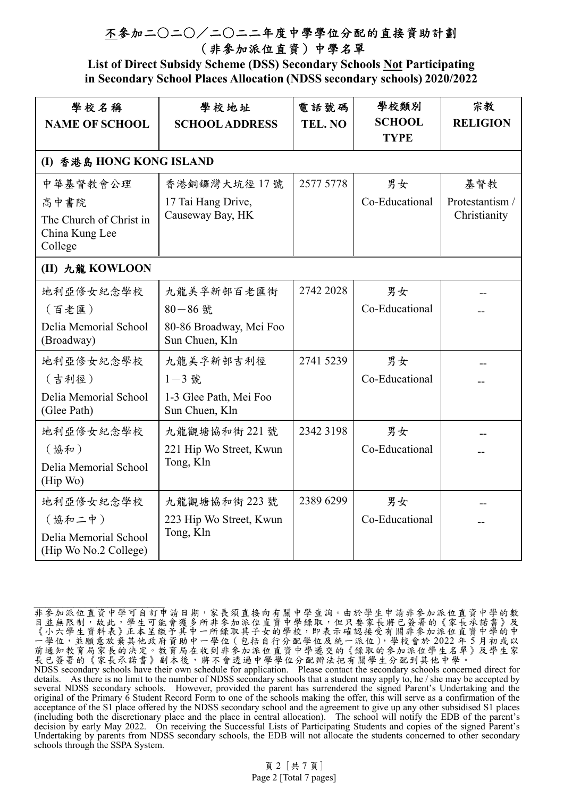**List of Direct Subsidy Scheme (DSS) Secondary Schools Not Participating in Secondary School Places Allocation (NDSS secondary schools) 2020/2022** 

| 學校名稱<br><b>NAME OF SCHOOL</b>                                                                                                                                                     | 學校地址<br><b>SCHOOL ADDRESS</b>                                                                                                                                                                        | 電話號碼<br>TEL. NO                     | 學校類別<br><b>SCHOOL</b><br><b>TYPE</b>                                 | 宗教<br><b>RELIGION</b>                  |
|-----------------------------------------------------------------------------------------------------------------------------------------------------------------------------------|------------------------------------------------------------------------------------------------------------------------------------------------------------------------------------------------------|-------------------------------------|----------------------------------------------------------------------|----------------------------------------|
| (I) 香港島 HONG KONG ISLAND                                                                                                                                                          |                                                                                                                                                                                                      |                                     |                                                                      |                                        |
| 中華基督教會公理<br>高中書院<br>The Church of Christ in<br>China Kung Lee<br>College                                                                                                          | 香港銅鑼灣大坑徑 17號<br>17 Tai Hang Drive,<br>Causeway Bay, HK                                                                                                                                               | 2577 5778                           | 男女<br>Co-Educational                                                 | 基督教<br>Protestantism /<br>Christianity |
| (II) 九龍 KOWLOON                                                                                                                                                                   |                                                                                                                                                                                                      |                                     |                                                                      |                                        |
| 地利亞修女紀念學校<br>(百老匯)<br>Delia Memorial School<br>(Broadway)<br>地利亞修女紀念學校<br>(吉利徑)<br>Delia Memorial School<br>(Glee Path)<br>地利亞修女紀念學校<br>(協和)<br>Delia Memorial School<br>(Hip Wo) | 九龍美孚新邨百老匯街<br>$80 - 86$ 號<br>80-86 Broadway, Mei Foo<br>Sun Chuen, Kln<br>九龍美孚新邨吉利徑<br>$1 - 3$ 號<br>1-3 Glee Path, Mei Foo<br>Sun Chuen, Kln<br>九龍觀塘協和街 221號<br>221 Hip Wo Street, Kwun<br>Tong, Kln | 2742 2028<br>2741 5239<br>2342 3198 | 男女<br>Co-Educational<br>男女<br>Co-Educational<br>男女<br>Co-Educational |                                        |
| 地利亞修女紀念學校<br>(協和二中)<br>Delia Memorial School<br>(Hip Wo No.2 College)                                                                                                             | 九龍觀塘協和街 223號<br>223 Hip Wo Street, Kwun<br>Tong, Kln                                                                                                                                                 | 2389 6299                           | 男女<br>Co-Educational                                                 |                                        |

非參加派位直資中學可自訂申請日期,家長須直接向有關中學查詢。由於學生申請非參加派位直資中學的數 目並無限制,故此,學生可能會獲多所非參加派位直資中學錄取,但只要家長將已簽署的《家長承諾書》及 《小六學生資料表》正本呈繳予其中一所錄取其子女的學校,即表示確認接受有關非參加派位直資中學的中 一學位,並願意放棄其他政府資助中一學位(包括自行分配學位及統一派位),學校會於 2022 年 5 月初或以 前通知教育局家長的決定。教育局在收到非參加派位直資中學遞交的《錄取的參加派位學生名單》及學生家 長已簽署的《家長承諾書》副本後,將不會透過中學學位分配辦法把有關學生分配到其他中學。 NDSS secondary schools have their own schedule for application. Please contact the secondary schools concerned direct for details. As there is no limit to the number of NDSS secondary schools that a student may apply to, he / she may be accepted by several NDSS secondary schools. However, provided the parent has surrendered the signed Parent's Undertaking and the original of the Primary 6 Student Record Form to one of the schools making the offer, this will serve as a confirmation of the acceptance of the S1 place offered by the NDSS secondary school and the agreement to give up any other subsidised S1 places (including both the discretionary place and the place in central allocation). The school will notify the EDB of the parent's decision by early May 2022. On receiving the Successful Lists of Participating Students and copies of the signed Parent's Undertaking by parents from NDSS secondary schools, the EDB will not allocate the students concerned to other secondary schools through the SSPA System.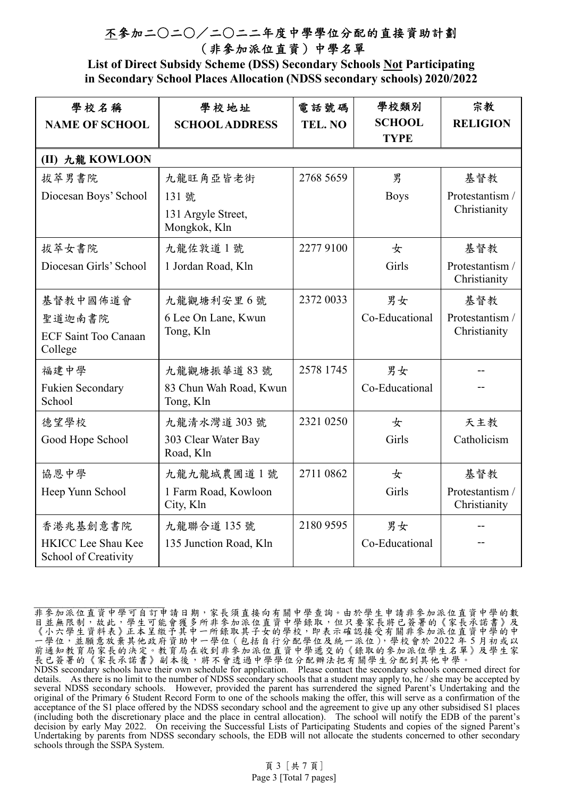**List of Direct Subsidy Scheme (DSS) Secondary Schools Not Participating in Secondary School Places Allocation (NDSS secondary schools) 2020/2022** 

| 學校名稱<br><b>NAME OF SCHOOL</b>                     | 學校地址<br><b>SCHOOL ADDRESS</b>       | 電話號碼<br>TEL. NO | 學校類別<br><b>SCHOOL</b><br><b>TYPE</b> | 宗教<br><b>RELIGION</b>           |
|---------------------------------------------------|-------------------------------------|-----------------|--------------------------------------|---------------------------------|
| (II) 九龍 KOWLOON                                   |                                     |                 |                                      |                                 |
| 拔萃男書院                                             | 九龍旺角亞皆老街                            | 2768 5659       | 男                                    | 基督教                             |
| Diocesan Boys' School                             | 131 號                               |                 | <b>Boys</b>                          | Protestantism /                 |
|                                                   | 131 Argyle Street,<br>Mongkok, Kln  |                 |                                      | Christianity                    |
| 拔萃女書院                                             | 九龍佐敦道1號                             | 22779100        | 女                                    | 基督教                             |
| Diocesan Girls' School                            | 1 Jordan Road, Kln                  |                 | Girls                                | Protestantism /<br>Christianity |
| 基督教中國佈道會                                          | 九龍觀塘利安里6號                           | 2372 0033       | 男女                                   | 基督教                             |
| 聖道迦南書院                                            | 6 Lee On Lane, Kwun                 |                 | Co-Educational                       | Protestantism /                 |
| <b>ECF Saint Too Canaan</b><br>College            | Tong, Kln                           |                 |                                      | Christianity                    |
| 福建中學                                              | 九龍觀塘振華道 83號                         | 2578 1745       | 男女                                   |                                 |
| <b>Fukien Secondary</b><br>School                 | 83 Chun Wah Road, Kwun<br>Tong, Kln |                 | Co-Educational                       |                                 |
| 德望學校                                              | 九龍清水灣道 303號                         | 2321 0250       | 女                                    | 天主教                             |
| Good Hope School                                  | 303 Clear Water Bay<br>Road, Kln    |                 | Girls                                | Catholicism                     |
| 協恩中學                                              | 九龍九龍城農圃道1號                          | 2711 0862       | 女                                    | 基督教                             |
| Heep Yunn School                                  | 1 Farm Road, Kowloon<br>City, Kln   |                 | Girls                                | Protestantism /<br>Christianity |
| 香港兆基創意書院                                          | 九龍聯合道135號                           | 2180 9595       | 男女                                   |                                 |
| <b>HKICC Lee Shau Kee</b><br>School of Creativity | 135 Junction Road, Kln              |                 | Co-Educational                       |                                 |

非參加派位直資中學可自訂申請日期,家長須直接向有關中學查詢。由於學生申請非參加派位直資中學的數 目並無限制,故此,學生可能會獲多所非參加派位直資中學錄取,但只要家長將已簽署的《家長承諾書》及 《小六學生資料表》正本呈繳予其中一所錄取其子女的學校,即表示確認接受有關非參加派位直資中學的中 一學位,並願意放棄其他政府資助中一學位(包括自行分配學位及統一派位),學校會於 2022 年 5 月初或以 前通知教育局家長的決定。教育局在收到非參加派位直資中學遞交的《錄取的參加派位學生名單》及學生家 長已簽署的《家長承諾書》副本後,將不會透過中學學位分配辦法把有關學生分配到其他中學。 NDSS secondary schools have their own schedule for application. Please contact the secondary schools concerned direct for details. As there is no limit to the number of NDSS secondary schools that a student may apply to, he / she may be accepted by several NDSS secondary schools. However, provided the parent has surrendered the signed Parent's Undertaking and the original of the Primary 6 Student Record Form to one of the schools making the offer, this will serve as a confirmation of the acceptance of the S1 place offered by the NDSS secondary school and the agreement to give up any other subsidised S1 places

(including both the discretionary place and the place in central allocation). The school will notify the EDB of the parent's decision by early May 2022. On receiving the Successful Lists of Participating Students and copies of the signed Parent's Undertaking by parents from NDSS secondary schools, the EDB will not allocate the students concerned to other secondary schools through the SSPA System.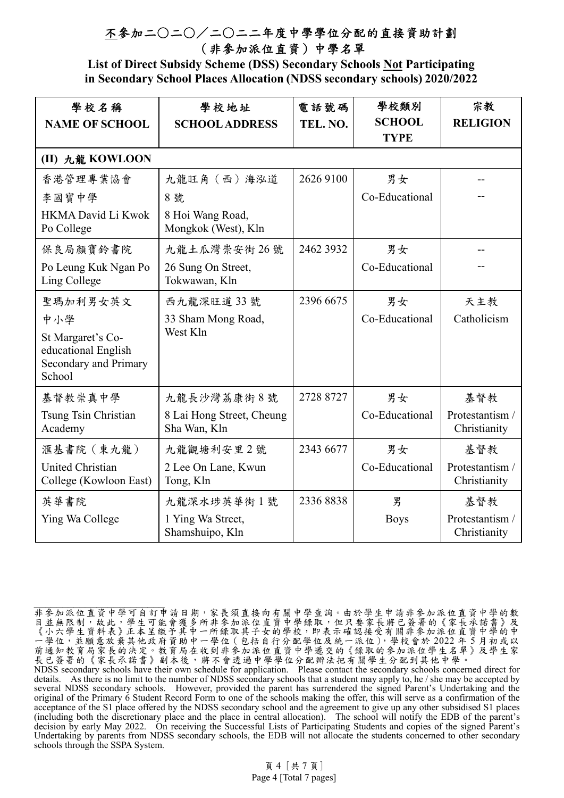**List of Direct Subsidy Scheme (DSS) Secondary Schools Not Participating in Secondary School Places Allocation (NDSS secondary schools) 2020/2022** 

| 學校名稱<br><b>NAME OF SCHOOL</b>                                                      | 學校地址<br><b>SCHOOL ADDRESS</b>             | 電話號碼<br>TEL. NO. | 學校類別<br><b>SCHOOL</b><br><b>TYPE</b> | 宗教<br><b>RELIGION</b>           |
|------------------------------------------------------------------------------------|-------------------------------------------|------------------|--------------------------------------|---------------------------------|
| (II) 九龍 KOWLOON                                                                    |                                           |                  |                                      |                                 |
| 香港管理專業協會                                                                           | 九龍旺角 (西) 海泓道                              | 2626 9100        | 男女                                   |                                 |
| 李國寶中學                                                                              | 8 號                                       |                  | Co-Educational                       |                                 |
| <b>HKMA David Li Kwok</b><br>Po College                                            | 8 Hoi Wang Road,<br>Mongkok (West), Kln   |                  |                                      |                                 |
| 保良局顏寶鈴書院                                                                           | 九龍土瓜灣崇安街 26號                              | 2462 3932        | 男女                                   |                                 |
| Po Leung Kuk Ngan Po<br>Ling College                                               | 26 Sung On Street,<br>Tokwawan, Kln       |                  | Co-Educational                       |                                 |
| 聖瑪加利男女英文                                                                           | 西九龍深旺道33號                                 | 2396 6675        | 男女                                   | 天主教                             |
| 中小學                                                                                | 33 Sham Mong Road,                        |                  | Co-Educational                       | Catholicism                     |
| St Margaret's Co-<br>educational English<br><b>Secondary and Primary</b><br>School | West Kln                                  |                  |                                      |                                 |
| 基督教崇真中學                                                                            | 九龍長沙灣荔康街8號                                | 2728 8727        | 男女                                   | 基督教                             |
| Tsung Tsin Christian<br>Academy                                                    | 8 Lai Hong Street, Cheung<br>Sha Wan, Kln |                  | Co-Educational                       | Protestantism /<br>Christianity |
| 滙基書院 (東九龍)                                                                         | 九龍觀塘利安里2號                                 | 2343 6677        | 男女                                   | 基督教                             |
| <b>United Christian</b><br>College (Kowloon East)                                  | 2 Lee On Lane, Kwun<br>Tong, Kln          |                  | Co-Educational                       | Protestantism /<br>Christianity |
| 英華書院                                                                               | 九龍深水埗英華街1號                                | 23368838         | 男                                    | 基督教                             |
| Ying Wa College                                                                    | 1 Ying Wa Street,<br>Shamshuipo, Kln      |                  | <b>Boys</b>                          | Protestantism /<br>Christianity |

非參加派位直資中學可自訂申請日期,家長須直接向有關中學查詢。由於學生申請非參加派位直資中學的數 目並無限制,故此,學生可能會獲多所非參加派位直資中學錄取,但只要家長將已簽署的《家長承諾書》及 《小六學生資料表》正本呈繳予其中一所錄取其子女的學校,即表示確認接受有關非參加派位直資中學的中 一學位,並願意放棄其他政府資助中一學位(包括自行分配學位及統一派位),學校會於 2022 年 5 月初或以 前通知教育局家長的決定。教育局在收到非參加派位直資中學遞交的《錄取的參加派位學生名單》及學生家 長已簽署的《家長承諾書》副本後,將不會透過中學學位分配辦法把有關學生分配到其他中學。 NDSS secondary schools have their own schedule for application. Please contact the secondary schools concerned direct for details. As there is no limit to the number of NDSS secondary schools that a student may apply to, he / she may be accepted by several NDSS secondary schools. However, provided the parent has surrendered the signed Parent's Undertaking and the original of the Primary 6 Student Record Form to one of the schools making the offer, this will serve as a confirmation of the acceptance of the S1 place offered by the NDSS secondary school and the agreement to give up any other subsidised S1 places (including both the discretionary place and the place in central allocation). The school will notify the EDB of the parent's decision by early May 2022. On receiving the Successful Lists of Participating Students and copies of the signed Parent's Undertaking by parents from NDSS secondary schools, the EDB will not allocate the students concerned to other secondary schools through the SSPA System.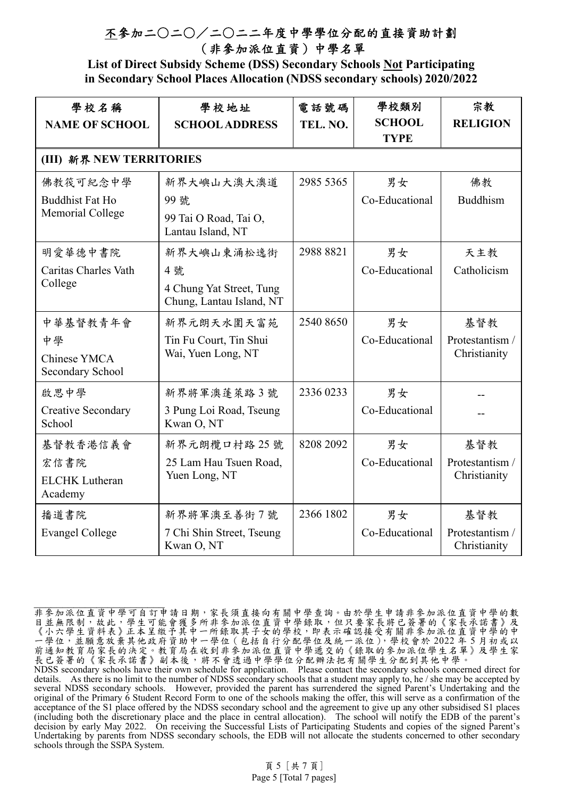**List of Direct Subsidy Scheme (DSS) Secondary Schools Not Participating in Secondary School Places Allocation (NDSS secondary schools) 2020/2022** 

| 學校名稱<br><b>NAME OF SCHOOL</b>                          | 學校地址<br><b>SCHOOL ADDRESS</b>                                            | 電話號碼<br>TEL. NO. | 學校類別<br><b>SCHOOL</b><br><b>TYPE</b> | 宗教<br><b>RELIGION</b>                  |
|--------------------------------------------------------|--------------------------------------------------------------------------|------------------|--------------------------------------|----------------------------------------|
| (III) 新界 NEW TERRITORIES                               |                                                                          |                  |                                      |                                        |
| 佛教筏可紀念中學<br><b>Buddhist Fat Ho</b><br>Memorial College | 新界大嶼山大澳大澳道<br>99 號<br>99 Tai O Road, Tai O,<br>Lantau Island, NT         | 2985 5365        | 男女<br>Co-Educational                 | 佛教<br><b>Buddhism</b>                  |
| 明愛華德中書院<br>Caritas Charles Vath<br>College             | 新界大嶼山東涌松逸街<br>4號<br>4 Chung Yat Street, Tung<br>Chung, Lantau Island, NT | 2988 8821        | 男女<br>Co-Educational                 | 天主教<br>Catholicism                     |
| 中華基督教青年會<br>中學<br>Chinese YMCA<br>Secondary School     | 新界元朗天水圍天富苑<br>Tin Fu Court, Tin Shui<br>Wai, Yuen Long, NT               | 2540 8650        | 男女<br>Co-Educational                 | 基督教<br>Protestantism /<br>Christianity |
| 啟思中學<br><b>Creative Secondary</b><br>School            | 新界將軍澳蓬萊路3號<br>3 Pung Loi Road, Tseung<br>Kwan O, NT                      | 2336 0233        | 男女<br>Co-Educational                 |                                        |
| 基督教香港信義會<br>宏信書院<br><b>ELCHK</b> Lutheran<br>Academy   | 新界元朗欖口村路 25號<br>25 Lam Hau Tsuen Road,<br>Yuen Long, NT                  | 8208 2092        | 男女<br>Co-Educational                 | 基督教<br>Protestantism /<br>Christianity |
| 播道書院<br><b>Evangel College</b>                         | 新界將軍澳至善街7號<br>7 Chi Shin Street, Tseung<br>Kwan O, NT                    | 2366 1802        | 男女<br>Co-Educational                 | 基督教<br>Protestantism /<br>Christianity |

非參加派位直資中學可自訂申請日期,家長須直接向有關中學查詢。由於學生申請非參加派位直資中學的數 目並無限制,故此,學生可能會獲多所非參加派位直資中學錄取,但只要家長將已簽署的《家長承諾書》及 《小六學生資料表》正本呈繳予其中一所錄取其子女的學校,即表示確認接受有關非參加派位直資中學的中 一學位,並願意放棄其他政府資助中一學位(包括自行分配學位及統一派位),學校會於 2022 年 5 月初或以 前通知教育局家長的決定。教育局在收到非參加派位直資中學遞交的《錄取的參加派位學生名單》及學生家 長已簽署的《家長承諾書》副本後,將不會透過中學學位分配辦法把有關學生分配到其他中學。 NDSS secondary schools have their own schedule for application. Please contact the secondary schools concerned direct for details. As there is no limit to the number of NDSS secondary schools that a student may apply to, he / she may be accepted by several NDSS secondary schools. However, provided the parent has surrendered the signed Parent's Undertaking and the original of the Primary 6 Student Record Form to one of the schools making the offer, this will serve as a confirmation of the acceptance of the S1 place offered by the NDSS secondary school and the agreement to give up any other subsidised S1 places (including both the discretionary place and the place in central allocation). The school will notify the EDB of the parent's

decision by early May 2022. On receiving the Successful Lists of Participating Students and copies of the signed Parent's Undertaking by parents from NDSS secondary schools, the EDB will not allocate the students concerned to other secondary schools through the SSPA System.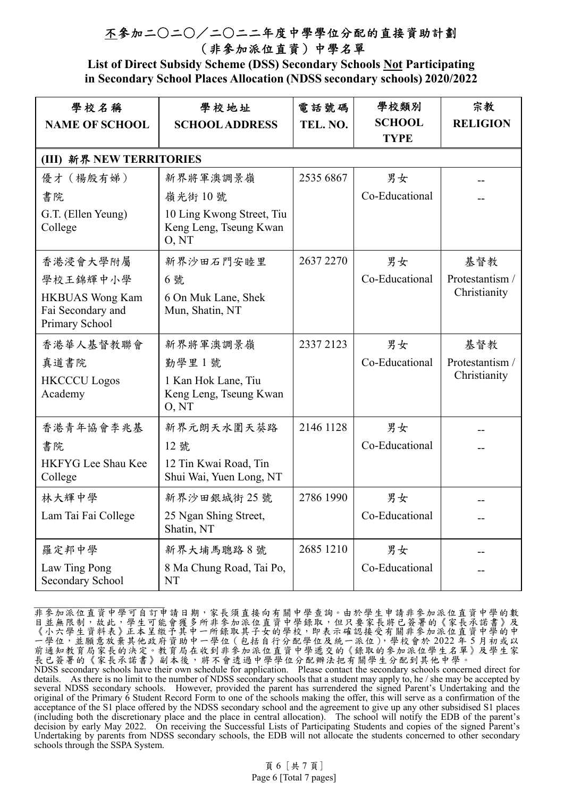**List of Direct Subsidy Scheme (DSS) Secondary Schools Not Participating in Secondary School Places Allocation (NDSS secondary schools) 2020/2022** 

| 學校名稱<br><b>NAME OF SCHOOL</b>                                 | 學校地址<br><b>SCHOOL ADDRESS</b>                                | 電話號碼<br>TEL. NO. | 學校類別<br><b>SCHOOL</b><br><b>TYPE</b> | 宗教<br><b>RELIGION</b> |  |  |  |
|---------------------------------------------------------------|--------------------------------------------------------------|------------------|--------------------------------------|-----------------------|--|--|--|
|                                                               | (III) 新界 NEW TERRITORIES                                     |                  |                                      |                       |  |  |  |
| 優才 (楊殷有娣)                                                     | 新界將軍澳調景嶺                                                     | 2535 6867        | 男女                                   |                       |  |  |  |
| 書院                                                            | 嶺光街10號                                                       |                  | Co-Educational                       |                       |  |  |  |
| G.T. (Ellen Yeung)<br>College                                 | 10 Ling Kwong Street, Tiu<br>Keng Leng, Tseung Kwan<br>O, NT |                  |                                      |                       |  |  |  |
| 香港浸會大學附屬                                                      | 新界沙田石門安睦里                                                    | 2637 2270        | 男女                                   | 基督教                   |  |  |  |
| 學校王錦輝中小學                                                      | 6號                                                           |                  | Co-Educational                       | Protestantism /       |  |  |  |
| <b>HKBUAS Wong Kam</b><br>Fai Secondary and<br>Primary School | 6 On Muk Lane, Shek<br>Mun, Shatin, NT                       |                  |                                      | Christianity          |  |  |  |
| 香港華人基督教聯會                                                     | 新界將軍澳調景嶺                                                     | 2337 2123        | 男女                                   | 基督教                   |  |  |  |
| 真道書院                                                          | 勤學里1號                                                        |                  | Co-Educational                       | Protestantism /       |  |  |  |
| <b>HKCCCU</b> Logos<br>Academy                                | 1 Kan Hok Lane, Tiu<br>Keng Leng, Tseung Kwan<br>O, NT       |                  |                                      | Christianity          |  |  |  |
| 香港青年協會李兆基                                                     | 新界元朗天水圍天葵路                                                   | 2146 1128        | 男女                                   |                       |  |  |  |
| 書院                                                            | 12 號                                                         |                  | Co-Educational                       |                       |  |  |  |
| HKFYG Lee Shau Kee<br>College                                 | 12 Tin Kwai Road, Tin<br>Shui Wai, Yuen Long, NT             |                  |                                      |                       |  |  |  |
| 林大輝中學                                                         | 新界沙田銀城街 25號                                                  | 2786 1990        | 男女                                   |                       |  |  |  |
| Lam Tai Fai College                                           | 25 Ngan Shing Street,<br>Shatin, NT                          |                  | Co-Educational                       |                       |  |  |  |
| 羅定邦中學                                                         | 新界大埔馬聰路8號                                                    | 2685 1210        | 男女                                   |                       |  |  |  |
| Law Ting Pong<br>Secondary School                             | 8 Ma Chung Road, Tai Po,<br><b>NT</b>                        |                  | Co-Educational                       |                       |  |  |  |

非參加派位直資中學可自訂申請日期,家長須直接向有關中學查詢。由於學生申請非參加派位直資中學的數 目並無限制,故此,學生可能會獲多所非參加派位直資中學錄取,但只要家長將已簽署的《家長承諾書》及 《小六學生資料表》正本呈繳予其中一所錄取其子女的學校,即表示確認接受有關非參加派位直資中學的中 一學位,並願意放棄其他政府資助中一學位(包括自行分配學位及統一派位),學校會於 2022 年 5 月初或以 前通知教育局家長的決定。教育局在收到非參加派位直資中學遞交的《錄取的參加派位學生名單》及學生家 長已簽署的《家長承諾書》副本後,將不會透過中學學位分配辦法把有關學生分配到其他中學。 NDSS secondary schools have their own schedule for application. Please contact the secondary schools concerned direct for details. As there is no limit to the number of NDSS secondary schools that a student may apply to, he / she may be accepted by several NDSS secondary schools. However, provided the parent has surrendered the signed Parent's Undertaking and the original of the Primary 6 Student Record Form to one of the schools making the offer, this will serve as a confirmation of the acceptance of the S1 place offered by the NDSS secondary school and the agreement to give up any other subsidised S1 places (including both the discretionary place and the place in central allocation). The school will notify the EDB of the parent's decision by early May 2022. On receiving the Successful Lists of Participating Students and copies of the signed Parent's Undertaking by parents from NDSS secondary schools, the EDB will not allocate the students concerned to other secondary schools through the SSPA System.